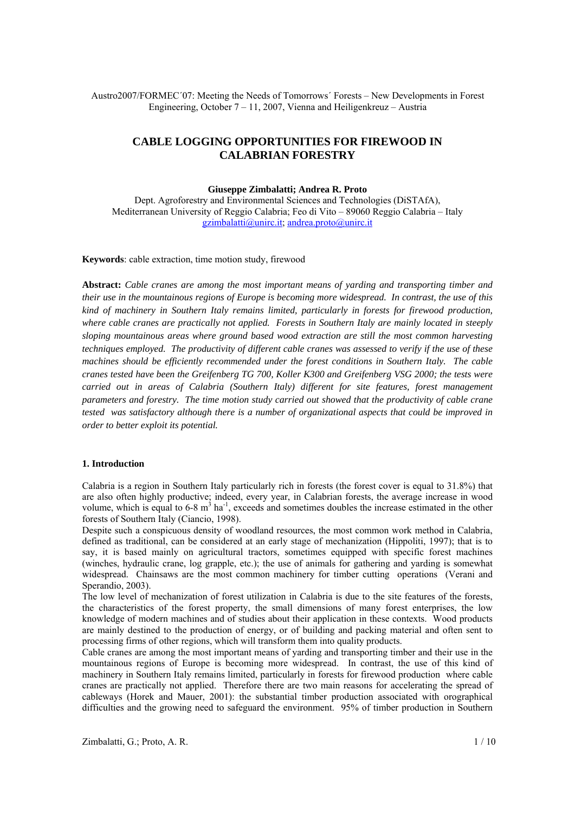Austro2007/FORMEC´07: Meeting the Needs of Tomorrows´ Forests – New Developments in Forest Engineering, October 7 – 11, 2007, Vienna and Heiligenkreuz – Austria

# **CABLE LOGGING OPPORTUNITIES FOR FIREWOOD IN CALABRIAN FORESTRY**

#### **Giuseppe Zimbalatti; Andrea R. Proto**

Dept. Agroforestry and Environmental Sciences and Technologies (DiSTAfA), Mediterranean University of Reggio Calabria; Feo di Vito – 89060 Reggio Calabria – Italy gzimbalatti@unirc.it; andrea.proto@unirc.it

### **Keywords**: cable extraction, time motion study, firewood

**Abstract:** *Cable cranes are among the most important means of yarding and transporting timber and their use in the mountainous regions of Europe is becoming more widespread. In contrast, the use of this kind of machinery in Southern Italy remains limited, particularly in forests for firewood production, where cable cranes are practically not applied. Forests in Southern Italy are mainly located in steeply sloping mountainous areas where ground based wood extraction are still the most common harvesting techniques employed. The productivity of different cable cranes was assessed to verify if the use of these machines should be efficiently recommended under the forest conditions in Southern Italy. The cable cranes tested have been the Greifenberg TG 700, Koller K300 and Greifenberg VSG 2000; the tests were carried out in areas of Calabria (Southern Italy) different for site features, forest management parameters and forestry. The time motion study carried out showed that the productivity of cable crane tested was satisfactory although there is a number of organizational aspects that could be improved in order to better exploit its potential.* 

#### **1. Introduction**

Calabria is a region in Southern Italy particularly rich in forests (the forest cover is equal to 31.8%) that are also often highly productive; indeed, every year, in Calabrian forests, the average increase in wood volume, which is equal to  $6-8 \text{ m}^3$  ha<sup>-1</sup>, exceeds and sometimes doubles the increase estimated in the other forests of Southern Italy (Ciancio, 1998).

Despite such a conspicuous density of woodland resources, the most common work method in Calabria, defined as traditional, can be considered at an early stage of mechanization (Hippoliti, 1997); that is to say, it is based mainly on agricultural tractors, sometimes equipped with specific forest machines (winches, hydraulic crane, log grapple, etc.); the use of animals for gathering and yarding is somewhat widespread. Chainsaws are the most common machinery for timber cutting operations (Verani and Sperandio, 2003).

The low level of mechanization of forest utilization in Calabria is due to the site features of the forests, the characteristics of the forest property, the small dimensions of many forest enterprises, the low knowledge of modern machines and of studies about their application in these contexts. Wood products are mainly destined to the production of energy, or of building and packing material and often sent to processing firms of other regions, which will transform them into quality products.

Cable cranes are among the most important means of yarding and transporting timber and their use in the mountainous regions of Europe is becoming more widespread. In contrast, the use of this kind of machinery in Southern Italy remains limited, particularly in forests for firewood production where cable cranes are practically not applied. Therefore there are two main reasons for accelerating the spread of cableways (Horek and Mauer, 2001): the substantial timber production associated with orographical difficulties and the growing need to safeguard the environment. 95% of timber production in Southern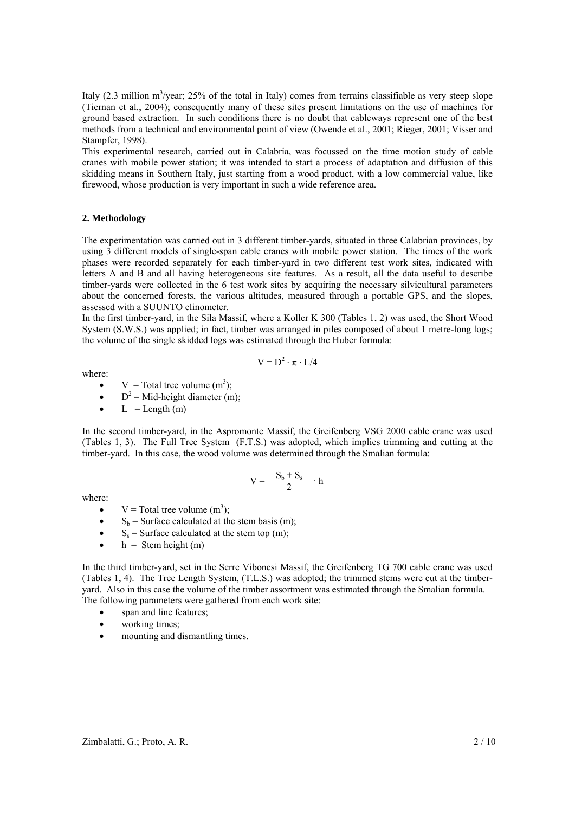Italy  $(2.3 \text{ million m}^3/\text{year})$ ;  $25\%$  of the total in Italy) comes from terrains classifiable as very steep slope (Tiernan et al., 2004); consequently many of these sites present limitations on the use of machines for ground based extraction. In such conditions there is no doubt that cableways represent one of the best methods from a technical and environmental point of view (Owende et al., 2001; Rieger, 2001; Visser and Stampfer, 1998).

This experimental research, carried out in Calabria, was focussed on the time motion study of cable cranes with mobile power station; it was intended to start a process of adaptation and diffusion of this skidding means in Southern Italy, just starting from a wood product, with a low commercial value, like firewood, whose production is very important in such a wide reference area.

#### **2. Methodology**

The experimentation was carried out in 3 different timber-yards, situated in three Calabrian provinces, by using 3 different models of single-span cable cranes with mobile power station. The times of the work phases were recorded separately for each timber-yard in two different test work sites, indicated with letters A and B and all having heterogeneous site features. As a result, all the data useful to describe timber-yards were collected in the 6 test work sites by acquiring the necessary silvicultural parameters about the concerned forests, the various altitudes, measured through a portable GPS, and the slopes, assessed with a SUUNTO clinometer.

In the first timber-yard, in the Sila Massif, where a Koller K 300 (Tables 1, 2) was used, the Short Wood System (S.W.S.) was applied; in fact, timber was arranged in piles composed of about 1 metre-long logs; the volume of the single skidded logs was estimated through the Huber formula:

 $V = D^2 \cdot \pi \cdot L/4$ 

where:

• 
$$
V = \text{Total tree volume (m}^3)
$$
;

- $D^2 = Mid$ -height diameter (m);
- $L =$ Length (m)

In the second timber-yard, in the Aspromonte Massif, the Greifenberg VSG 2000 cable crane was used (Tables 1, 3). The Full Tree System (F.T.S.) was adopted, which implies trimming and cutting at the timber-yard. In this case, the wood volume was determined through the Smalian formula:

$$
V=\,\frac{-\,S_b+S_s}{2}\,\,\cdot h
$$

where:

- $V = \text{Total tree volume } (m^3)$ ;
- $S_b$  = Surface calculated at the stem basis (m);
- $S_s$  = Surface calculated at the stem top (m);
- $h =$ Stem height (m)

In the third timber-yard, set in the Serre Vibonesi Massif, the Greifenberg TG 700 cable crane was used (Tables 1, 4). The Tree Length System, (T.L.S.) was adopted; the trimmed stems were cut at the timberyard. Also in this case the volume of the timber assortment was estimated through the Smalian formula. The following parameters were gathered from each work site:

- span and line features;
- working times:
- mounting and dismantling times.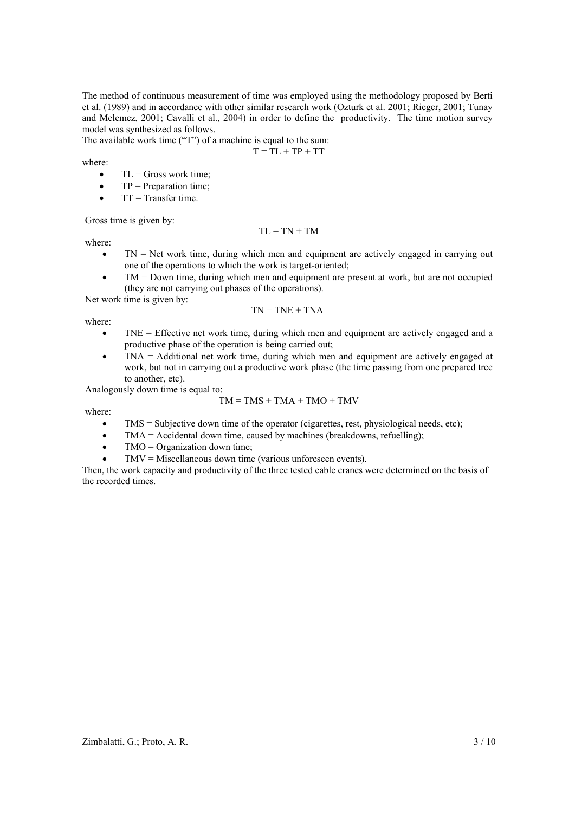The method of continuous measurement of time was employed using the methodology proposed by Berti et al. (1989) and in accordance with other similar research work (Ozturk et al. 2001; Rieger, 2001; Tunay and Melemez, 2001; Cavalli et al., 2004) in order to define the productivity. The time motion survey model was synthesized as follows.

The available work time ("T") of a machine is equal to the sum:

$$
T = TL + TP + TT
$$

where:

- $\bullet$  TL = Gross work time;
- $\bullet$  TP = Preparation time;
- $\bullet$  TT = Transfer time.

Gross time is given by:

where:

 $TN = Net$  work time, during which men and equipment are actively engaged in carrying out one of the operations to which the work is target-oriented;

 $TL = TN + TM$ 

• TM = Down time, during which men and equipment are present at work, but are not occupied (they are not carrying out phases of the operations).

Net work time is given by:

$$
TN = TNE + TNA
$$

where:

- TNE = Effective net work time, during which men and equipment are actively engaged and a productive phase of the operation is being carried out;
- TNA = Additional net work time, during which men and equipment are actively engaged at work, but not in carrying out a productive work phase (the time passing from one prepared tree to another, etc).

Analogously down time is equal to:

$$
TM = TMS + TMA + TMO + TMV
$$

where:

- $\bullet$  TMS = Subjective down time of the operator (cigarettes, rest, physiological needs, etc);
- TMA = Accidental down time, caused by machines (breakdowns, refuelling);
- $TMO = Organization down time;$
- $TMV = Miscellaneous down time (various unforeseen events).$

Then, the work capacity and productivity of the three tested cable cranes were determined on the basis of the recorded times.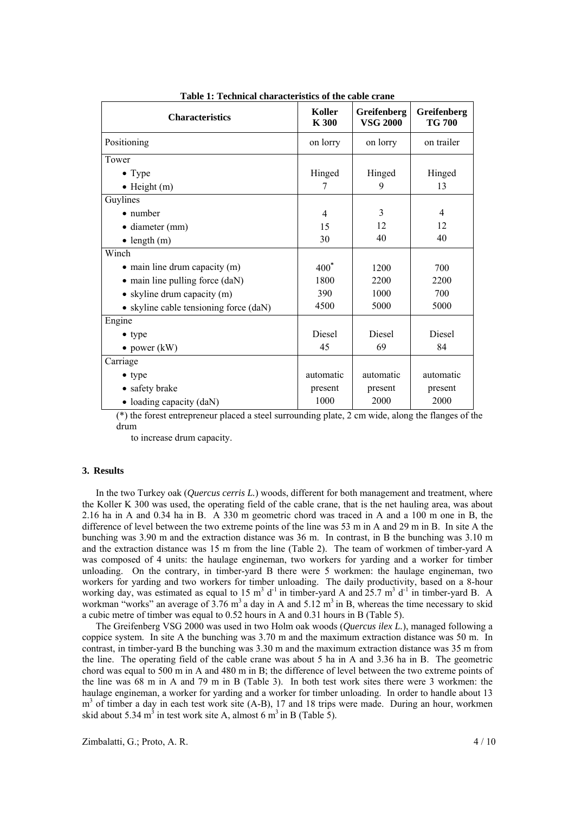| <b>Characteristics</b>                 | Koller<br>K 300 | Greifenberg<br><b>VSG 2000</b> | Greifenberg<br><b>TG 700</b> |  |
|----------------------------------------|-----------------|--------------------------------|------------------------------|--|
| Positioning                            | on lorry        | on lorry                       | on trailer                   |  |
| Tower                                  |                 |                                |                              |  |
| • Type                                 | Hinged          | Hinged                         | Hinged                       |  |
| $\bullet$ Height (m)                   | 7               | 9                              | 13                           |  |
| Guylines                               |                 |                                |                              |  |
| $\bullet$ number                       | 4               | 3                              | $\overline{4}$               |  |
| · diameter (mm)                        | 15              | 12                             | 12                           |  |
| $\bullet$ length (m)                   | 30              | 40                             | 40                           |  |
| Winch                                  |                 |                                |                              |  |
| • main line drum capacity (m)          | $400^*$         | 1200                           | 700                          |  |
| • main line pulling force (daN)        | 1800            | 2200                           | 2200                         |  |
| • skyline drum capacity $(m)$          | 390             | 1000                           | 700                          |  |
| • skyline cable tensioning force (daN) | 4500            | 5000                           | 5000                         |  |
| Engine                                 |                 |                                |                              |  |
| $\bullet$ type                         | <b>Diesel</b>   | <b>Diesel</b>                  | <b>Diesel</b>                |  |
| • power $(kW)$                         | 45              | 69                             | 84                           |  |
| Carriage                               |                 |                                |                              |  |
| $\bullet$ type                         | automatic       | automatic                      | automatic                    |  |
| • safety brake                         | present         | present                        | present                      |  |
| • loading capacity $(daN)$             | 1000            | 2000                           | 2000                         |  |

**Table 1: Technical characteristics of the cable crane** 

(\*) the forest entrepreneur placed a steel surrounding plate, 2 cm wide, along the flanges of the drum

to increase drum capacity.

#### **3. Results**

In the two Turkey oak (*Quercus cerris L.*) woods, different for both management and treatment, where the Koller K 300 was used, the operating field of the cable crane, that is the net hauling area, was about 2.16 ha in A and 0.34 ha in B. A 330 m geometric chord was traced in A and a 100 m one in B, the difference of level between the two extreme points of the line was 53 m in A and 29 m in B. In site A the bunching was 3.90 m and the extraction distance was 36 m. In contrast, in B the bunching was 3.10 m and the extraction distance was 15 m from the line (Table 2). The team of workmen of timber-yard A was composed of 4 units: the haulage engineman, two workers for yarding and a worker for timber unloading. On the contrary, in timber-yard B there were 5 workmen: the haulage engineman, two workers for yarding and two workers for timber unloading. The daily productivity, based on a 8-hour working day, was estimated as equal to 15  $m^3$  d<sup>-1</sup> in timber-yard A and 25.7  $m^3$  d<sup>-1</sup> in timber-yard B. A workman "works" an average of 3.76 m<sup>3</sup> a day in A and 5.12 m<sup>3</sup> in B, whereas the time necessary to skid a cubic metre of timber was equal to 0.52 hours in A and 0.31 hours in B (Table 5).

The Greifenberg VSG 2000 was used in two Holm oak woods (*Quercus ilex L.*), managed following a coppice system. In site A the bunching was 3.70 m and the maximum extraction distance was 50 m. In contrast, in timber-yard B the bunching was 3.30 m and the maximum extraction distance was 35 m from the line. The operating field of the cable crane was about 5 ha in A and 3.36 ha in B. The geometric chord was equal to 500 m in A and 480 m in B; the difference of level between the two extreme points of the line was 68 m in A and 79 m in B (Table 3). In both test work sites there were 3 workmen: the haulage engineman, a worker for yarding and a worker for timber unloading. In order to handle about 13 m<sup>3</sup> of timber a day in each test work site (A-B), 17 and 18 trips were made. During an hour, workmen skid about 5.34 m<sup>3</sup> in test work site A, almost 6 m<sup>3</sup> in B (Table 5).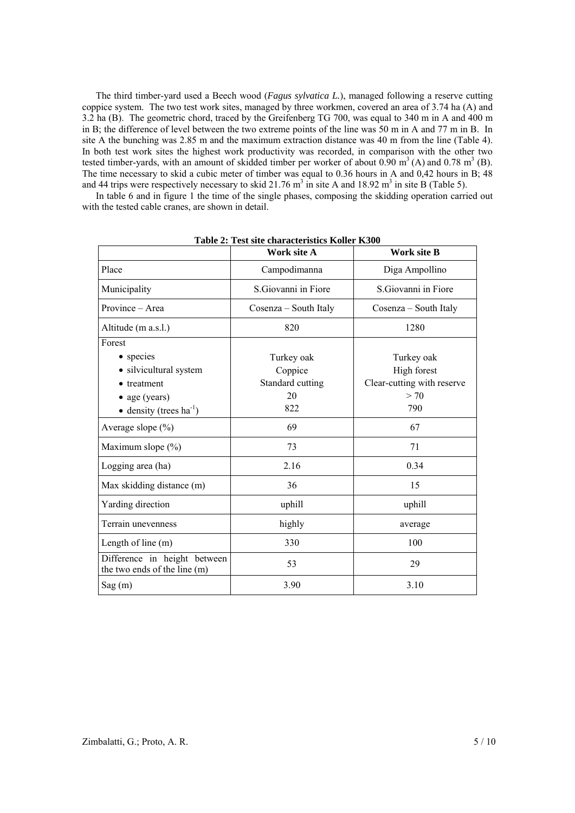The third timber-yard used a Beech wood (*Fagus sylvatica L.*), managed following a reserve cutting coppice system. The two test work sites, managed by three workmen, covered an area of 3.74 ha (A) and 3.2 ha (B). The geometric chord, traced by the Greifenberg TG 700, was equal to 340 m in A and 400 m in B; the difference of level between the two extreme points of the line was 50 m in A and 77 m in B. In site A the bunching was 2.85 m and the maximum extraction distance was 40 m from the line (Table 4). In both test work sites the highest work productivity was recorded, in comparison with the other two tested timber-yards, with an amount of skidded timber per worker of about  $0.90 \text{ m}^3$  (A) and  $0.78 \text{ m}^3$  (B). The time necessary to skid a cubic meter of timber was equal to 0.36 hours in A and 0,42 hours in B; 48 and 44 trips were respectively necessary to skid 21.76  $m^3$  in site A and 18.92  $m^3$  in site B (Table 5).

In table 6 and in figure 1 the time of the single phases, composing the skidding operation carried out with the tested cable cranes, are shown in detail.

|                                                              | Work site A           | <b>Work site B</b>         |
|--------------------------------------------------------------|-----------------------|----------------------------|
| Place                                                        | Campodimanna          | Diga Ampollino             |
| Municipality                                                 | S. Giovanni in Fiore  | S. Giovanni in Fiore       |
| Province – Area                                              | Cosenza – South Italy | Cosenza – South Italy      |
| Altitude (m a.s.l.)                                          | 820                   | 1280                       |
| Forest                                                       |                       |                            |
| • species                                                    | Turkey oak            | Turkey oak                 |
| • silvicultural system                                       | Coppice               | High forest                |
| • treatment                                                  | Standard cutting      | Clear-cutting with reserve |
| • age (years)                                                | 20                    | > 70                       |
| • density (trees $ha^{-1}$ )                                 | 822                   | 790                        |
| Average slope (%)                                            | 69                    | 67                         |
| Maximum slope (%)                                            | 73                    | 71                         |
| Logging area (ha)                                            | 2.16                  | 0.34                       |
| Max skidding distance (m)                                    | 36                    | 15                         |
| Yarding direction                                            | uphill                | uphill                     |
| Terrain unevenness                                           | highly                | average                    |
| Length of line $(m)$                                         | 330                   | 100                        |
| Difference in height between<br>the two ends of the line (m) | 53                    | 29                         |
| Sag(m)                                                       | 3.90                  | 3.10                       |

**Table 2: Test site characteristics Koller K300**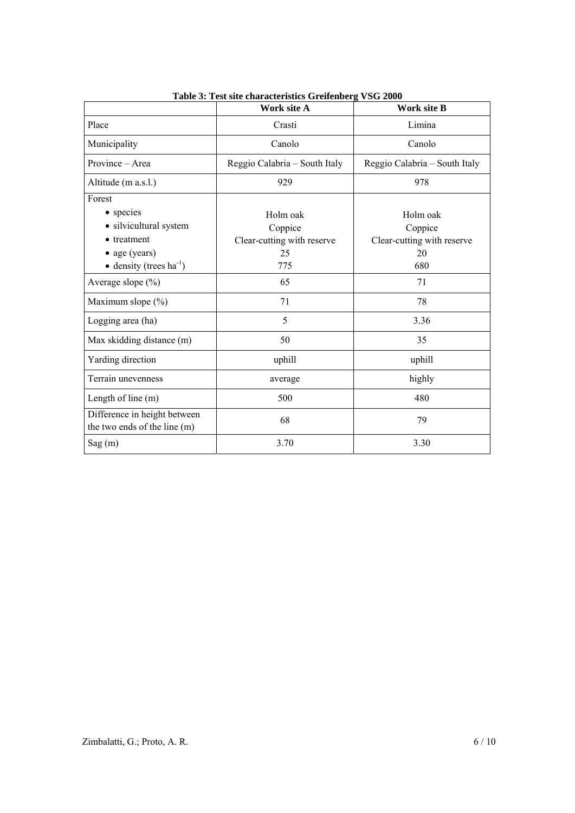|                                                              | Work site A                   | <b>Work site B</b>            |
|--------------------------------------------------------------|-------------------------------|-------------------------------|
| Place                                                        | Crasti                        | Limina                        |
| Municipality                                                 | Canolo                        | Canolo                        |
| Province - Area                                              | Reggio Calabria - South Italy | Reggio Calabria - South Italy |
| Altitude (m a.s.l.)                                          | 929                           | 978                           |
| Forest                                                       |                               |                               |
| • species                                                    | Holm oak                      | Holm oak                      |
| · silvicultural system                                       | Coppice                       | Coppice                       |
| • treatment                                                  | Clear-cutting with reserve    | Clear-cutting with reserve    |
| • age (years)                                                | 25                            | 20                            |
| $\bullet$ density (trees ha <sup>-1</sup> )                  | 775                           | 680                           |
| Average slope (%)                                            | 65                            | 71                            |
| Maximum slope (%)                                            | 71                            | 78                            |
| Logging area (ha)                                            | 5                             | 3.36                          |
| Max skidding distance (m)                                    | 50                            | 35                            |
| Yarding direction                                            | uphill                        | uphill                        |
| Terrain unevenness                                           | average                       | highly                        |
| Length of line (m)                                           | 500                           | 480                           |
| Difference in height between<br>the two ends of the line (m) | 68                            | 79                            |
| Sag(m)                                                       | 3.70                          | 3.30                          |

**Table 3: Test site characteristics Greifenberg VSG 2000**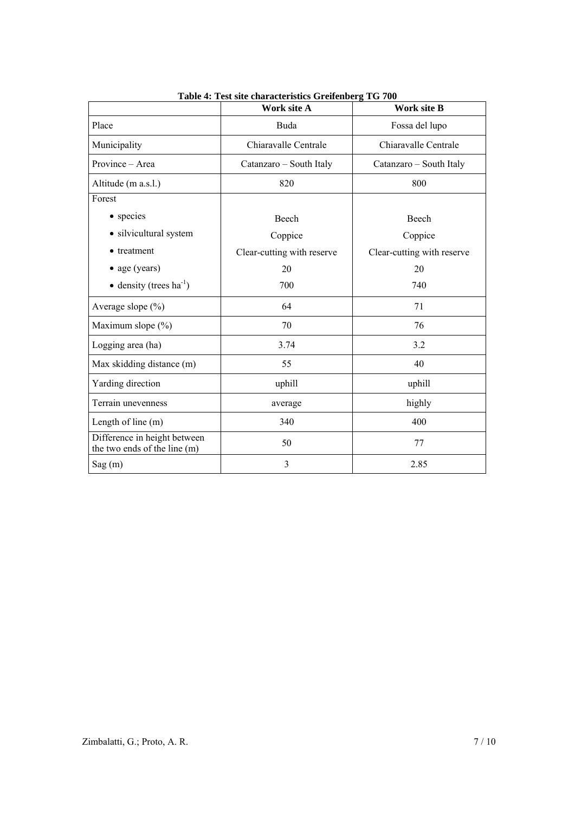|                                                              | Work site A                | <b>Work site B</b>         |
|--------------------------------------------------------------|----------------------------|----------------------------|
| Place                                                        | Buda                       | Fossa del lupo             |
| Municipality                                                 | Chiaravalle Centrale       | Chiaravalle Centrale       |
| Province - Area                                              | Catanzaro - South Italy    | Catanzaro - South Italy    |
| Altitude (m a.s.l.)                                          | 820                        | 800                        |
| Forest                                                       |                            |                            |
| • species                                                    | Beech                      | Beech                      |
| • silvicultural system                                       | Coppice                    | Coppice                    |
| • treatment                                                  | Clear-cutting with reserve | Clear-cutting with reserve |
| • age (years)                                                | 20                         | 20                         |
| • density (trees $ha^{-1}$ )                                 | 700                        | 740                        |
| Average slope $(\% )$                                        | 64                         | 71                         |
| Maximum slope (%)                                            | 70                         | 76                         |
| Logging area (ha)                                            | 3.74                       | 3.2                        |
| Max skidding distance (m)                                    | 55                         | 40                         |
| Yarding direction                                            | uphill                     | uphill                     |
| Terrain unevenness                                           | average                    | highly                     |
| Length of line $(m)$                                         | 340                        | 400                        |
| Difference in height between<br>the two ends of the line (m) | 50                         | 77                         |
| Sag(m)                                                       | 3                          | 2.85                       |

**Table 4: Test site characteristics Greifenberg TG 700**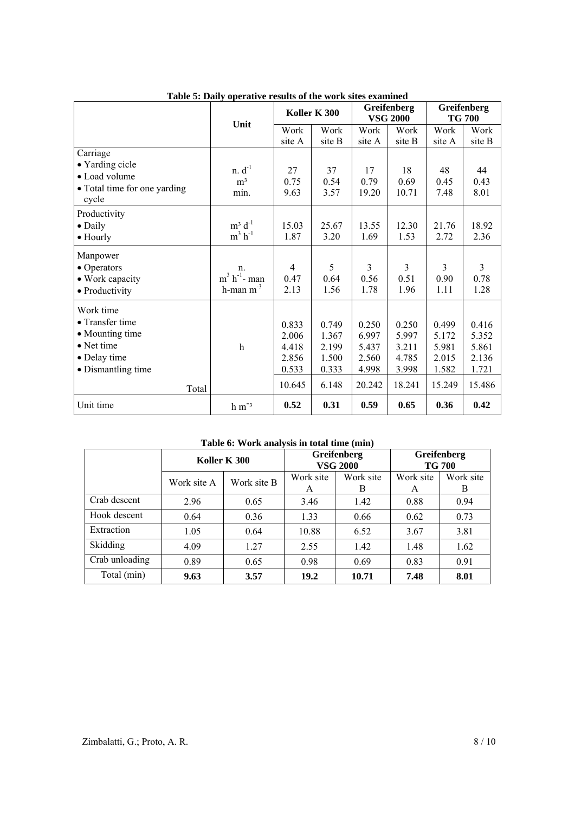|                                                                                                                      | Unit                                                |                                                     | Koller K 300                                       | Greifenberg<br><b>VSG 2000</b>                      |                                                     | Greifenberg<br><b>TG 700</b>                        |                                                     |
|----------------------------------------------------------------------------------------------------------------------|-----------------------------------------------------|-----------------------------------------------------|----------------------------------------------------|-----------------------------------------------------|-----------------------------------------------------|-----------------------------------------------------|-----------------------------------------------------|
|                                                                                                                      |                                                     | Work<br>site A                                      | Work<br>site B                                     | Work<br>site A                                      | Work<br>site B                                      | Work<br>site A                                      | Work<br>site B                                      |
| Carriage<br>• Yarding cicle<br>• Load volume<br>• Total time for one yarding<br>cycle                                | $n. d^{-1}$<br>m <sup>3</sup><br>min.               | 27<br>0.75<br>9.63                                  | 37<br>0.54<br>3.57                                 | 17<br>0.79<br>19.20                                 | 18<br>0.69<br>10.71                                 | 48<br>0.45<br>7.48                                  | 44<br>0.43<br>8.01                                  |
| Productivity<br>$\bullet$ Daily<br>$\bullet$ Hourly                                                                  | $m^3$ d <sup>-1</sup><br>$m^3$ h <sup>-1</sup>      | 15.03<br>1.87                                       | 25.67<br>3.20                                      | 13.55<br>1.69                                       | 12.30<br>1.53                                       | 21.76<br>2.72                                       | 18.92<br>2.36                                       |
| Manpower<br>• Operators<br>• Work capacity<br>• Productivity                                                         | n.<br>$m^3$ h <sup>-1</sup> - man<br>h-man $m^{-3}$ | $\overline{4}$<br>0.47<br>2.13                      | 5<br>0.64<br>1.56                                  | 3<br>0.56<br>1.78                                   | 3<br>0.51<br>1.96                                   | 3<br>0.90<br>1.11                                   | $\overline{3}$<br>0.78<br>1.28                      |
| Work time<br>• Transfer time<br>• Mounting time<br>$\bullet$ Net time<br>• Delay time<br>· Dismantling time<br>Total | $\mathbf h$                                         | 0.833<br>2.006<br>4.418<br>2.856<br>0.533<br>10.645 | 0.749<br>1.367<br>2.199<br>1.500<br>0.333<br>6.148 | 0.250<br>6.997<br>5.437<br>2.560<br>4.998<br>20.242 | 0.250<br>5.997<br>3.211<br>4.785<br>3.998<br>18.241 | 0.499<br>5.172<br>5.981<br>2.015<br>1.582<br>15.249 | 0.416<br>5.352<br>5.861<br>2.136<br>1.721<br>15.486 |
| Unit time                                                                                                            | $h m-3$                                             | 0.52                                                | 0.31                                               | 0.59                                                | 0.65                                                | 0.36                                                | 0.42                                                |

**Table 5: Daily operative results of the work sites examined** 

| Table 0. WOTK analysis in with the (Thin) |              |             |                                |                |                              |                |  |
|-------------------------------------------|--------------|-------------|--------------------------------|----------------|------------------------------|----------------|--|
|                                           | Koller K 300 |             | Greifenberg<br><b>VSG 2000</b> |                | Greifenberg<br><b>TG 700</b> |                |  |
|                                           | Work site A  | Work site B | Work site<br>A                 | Work site<br>В | Work site<br>A               | Work site<br>B |  |
| Crab descent                              | 2.96         | 0.65        | 3.46                           | 1.42           | 0.88                         | 0.94           |  |
| Hook descent                              | 0.64         | 0.36        | 1.33                           | 0.66           | 0.62                         | 0.73           |  |
| Extraction                                | 1.05         | 0.64        | 10.88                          | 6.52           | 3.67                         | 3.81           |  |
| Skidding                                  | 4.09         | 1.27        | 2.55                           | 1.42           | 1.48                         | 1.62           |  |
| Crab unloading                            | 0.89         | 0.65        | 0.98                           | 0.69           | 0.83                         | 0.91           |  |
| Total (min)                               | 9.63         | 3.57        | 19.2                           | 10.71          | 7.48                         | 8.01           |  |

## **Table 6: Work analysis in total time (min)**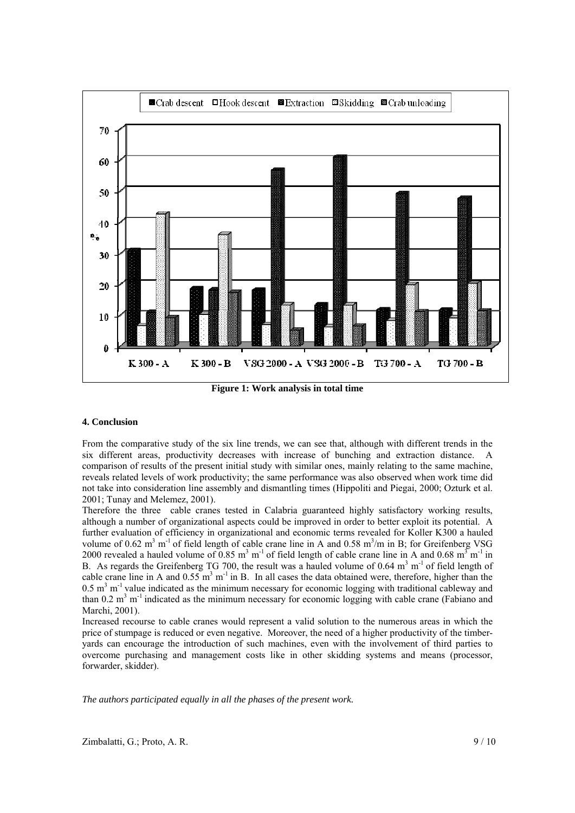

**Figure 1: Work analysis in total time** 

## **4. Conclusion**

From the comparative study of the six line trends, we can see that, although with different trends in the six different areas, productivity decreases with increase of bunching and extraction distance. A comparison of results of the present initial study with similar ones, mainly relating to the same machine, reveals related levels of work productivity; the same performance was also observed when work time did not take into consideration line assembly and dismantling times (Hippoliti and Piegai, 2000; Ozturk et al. 2001; Tunay and Melemez, 2001).

Therefore the three cable cranes tested in Calabria guaranteed highly satisfactory working results, although a number of organizational aspects could be improved in order to better exploit its potential. A further evaluation of efficiency in organizational and economic terms revealed for Koller K300 a hauled volume of  $0.62 \text{ m}^3 \text{ m}^{-1}$  of field length of cable crane line in A and  $0.58 \text{ m}^3/\text{m}$  in B; for Greifenberg VSG 2000 revealed a hauled volume of  $0.85 \text{ m}^3 \text{ m}^{-1}$  of field length of cable crane line in A and  $0.68 \text{ m}^3 \text{ m}^{-1}$  in B. As regards the Greifenberg TG 700, the result was a hauled volume of 0.64  $m<sup>3</sup> m<sup>-1</sup>$  of field length of cable crane line in A and  $0.55 \text{ m}^3 \text{ m}^{-1}$  in B. In all cases the data obtained were, therefore, higher than the  $0.5$  m<sup>3</sup> m<sup>-1</sup> value indicated as the minimum necessary for economic logging with traditional cableway and than  $0.2 \text{ m}^3 \text{ m}^{-1}$  indicated as the minimum necessary for economic logging with cable crane (Fabiano and Marchi, 2001).

Increased recourse to cable cranes would represent a valid solution to the numerous areas in which the price of stumpage is reduced or even negative. Moreover, the need of a higher productivity of the timberyards can encourage the introduction of such machines, even with the involvement of third parties to overcome purchasing and management costs like in other skidding systems and means (processor, forwarder, skidder).

*The authors participated equally in all the phases of the present work.*